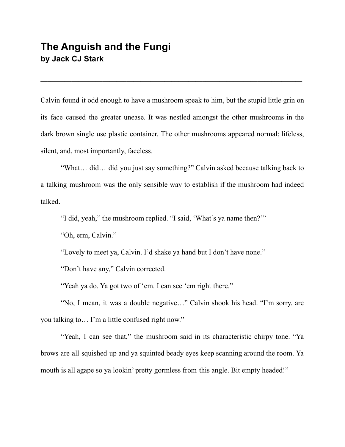## **The Anguish and the Fungi by Jack CJ Stark**

Calvin found it odd enough to have a mushroom speak to him, but the stupid little grin on its face caused the greater unease. It was nestled amongst the other mushrooms in the dark brown single use plastic container. The other mushrooms appeared normal; lifeless, silent, and, most importantly, faceless.

**\_\_\_\_\_\_\_\_\_\_\_\_\_\_\_\_\_\_\_\_\_\_\_\_\_\_\_\_\_\_\_\_\_\_\_\_\_\_\_\_\_\_\_\_\_\_\_\_\_\_\_\_\_\_\_\_\_\_\_\_\_\_\_\_\_\_\_\_\_\_\_\_\_\_\_\_**

"What… did… did you just say something?" Calvin asked because talking back to a talking mushroom was the only sensible way to establish if the mushroom had indeed talked.

"I did, yeah," the mushroom replied. "I said, 'What's ya name then?'"

"Oh, erm, Calvin."

"Lovely to meet ya, Calvin. I'd shake ya hand but I don't have none."

"Don't have any," Calvin corrected.

"Yeah ya do. Ya got two of 'em. I can see 'em right there."

"No, I mean, it was a double negative…" Calvin shook his head. "I'm sorry, are you talking to… I'm a little confused right now."

"Yeah, I can see that," the mushroom said in its characteristic chirpy tone. "Ya brows are all squished up and ya squinted beady eyes keep scanning around the room. Ya mouth is all agape so ya lookin' pretty gormless from this angle. Bit empty headed!"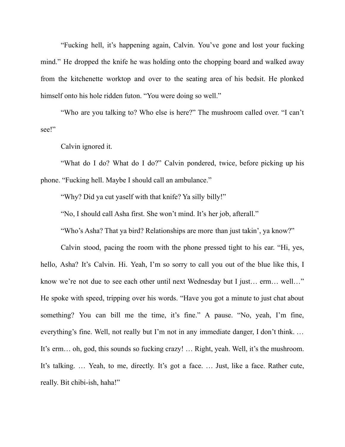"Fucking hell, it's happening again, Calvin. You've gone and lost your fucking mind." He dropped the knife he was holding onto the chopping board and walked away from the kitchenette worktop and over to the seating area of his bedsit. He plonked himself onto his hole ridden futon. "You were doing so well."

"Who are you talking to? Who else is here?" The mushroom called over. "I can't see!"

Calvin ignored it.

"What do I do? What do I do?" Calvin pondered, twice, before picking up his phone. "Fucking hell. Maybe I should call an ambulance."

"Why? Did ya cut yaself with that knife? Ya silly billy!"

"No, I should call Asha first. She won't mind. It's her job, afterall."

"Who's Asha? That ya bird? Relationships are more than just takin', ya know?"

Calvin stood, pacing the room with the phone pressed tight to his ear. "Hi, yes, hello, Asha? It's Calvin. Hi. Yeah, I'm so sorry to call you out of the blue like this, I know we're not due to see each other until next Wednesday but I just… erm… well…" He spoke with speed, tripping over his words. "Have you got a minute to just chat about something? You can bill me the time, it's fine." A pause. "No, yeah, I'm fine, everything's fine. Well, not really but I'm not in any immediate danger, I don't think. … It's erm… oh, god, this sounds so fucking crazy! … Right, yeah. Well, it's the mushroom. It's talking. … Yeah, to me, directly. It's got a face. … Just, like a face. Rather cute, really. Bit chibi-ish, haha!"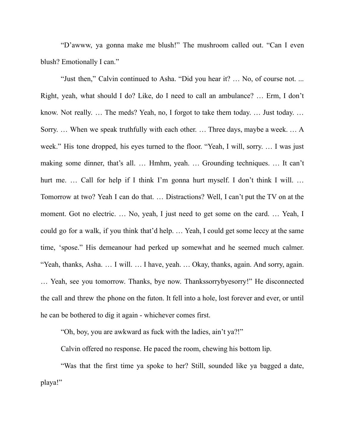"D'awww, ya gonna make me blush!" The mushroom called out. "Can I even blush? Emotionally I can."

"Just then," Calvin continued to Asha. "Did you hear it? … No, of course not. ... Right, yeah, what should I do? Like, do I need to call an ambulance? … Erm, I don't know. Not really. … The meds? Yeah, no, I forgot to take them today. … Just today. … Sorry. … When we speak truthfully with each other. … Three days, maybe a week. … A week." His tone dropped, his eyes turned to the floor. "Yeah, I will, sorry. … I was just making some dinner, that's all. … Hmhm, yeah. … Grounding techniques. … It can't hurt me. ... Call for help if I think I'm gonna hurt myself. I don't think I will. ... Tomorrow at two? Yeah I can do that. … Distractions? Well, I can't put the TV on at the moment. Got no electric. … No, yeah, I just need to get some on the card. … Yeah, I could go for a walk, if you think that'd help. … Yeah, I could get some leccy at the same time, 'spose." His demeanour had perked up somewhat and he seemed much calmer. "Yeah, thanks, Asha. … I will. … I have, yeah. … Okay, thanks, again. And sorry, again. … Yeah, see you tomorrow. Thanks, bye now. Thankssorrybyesorry!" He disconnected the call and threw the phone on the futon. It fell into a hole, lost forever and ever, or until he can be bothered to dig it again - whichever comes first.

"Oh, boy, you are awkward as fuck with the ladies, ain't ya?!"

Calvin offered no response. He paced the room, chewing his bottom lip.

"Was that the first time ya spoke to her? Still, sounded like ya bagged a date, playa!"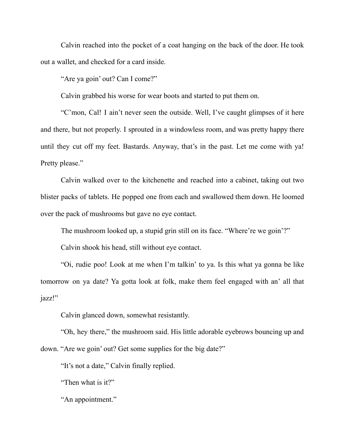Calvin reached into the pocket of a coat hanging on the back of the door. He took out a wallet, and checked for a card inside.

"Are ya goin' out? Can I come?"

Calvin grabbed his worse for wear boots and started to put them on.

"C'mon, Cal! I ain't never seen the outside. Well, I've caught glimpses of it here and there, but not properly. I sprouted in a windowless room, and was pretty happy there until they cut off my feet. Bastards. Anyway, that's in the past. Let me come with ya! Pretty please."

Calvin walked over to the kitchenette and reached into a cabinet, taking out two blister packs of tablets. He popped one from each and swallowed them down. He loomed over the pack of mushrooms but gave no eye contact.

The mushroom looked up, a stupid grin still on its face. "Where're we goin'?"

Calvin shook his head, still without eye contact.

"Oi, rudie poo! Look at me when I'm talkin' to ya. Is this what ya gonna be like tomorrow on ya date? Ya gotta look at folk, make them feel engaged with an' all that jazz!"

Calvin glanced down, somewhat resistantly.

"Oh, hey there," the mushroom said. His little adorable eyebrows bouncing up and down. "Are we goin' out? Get some supplies for the big date?"

"It's not a date," Calvin finally replied.

"Then what is it?"

"An appointment."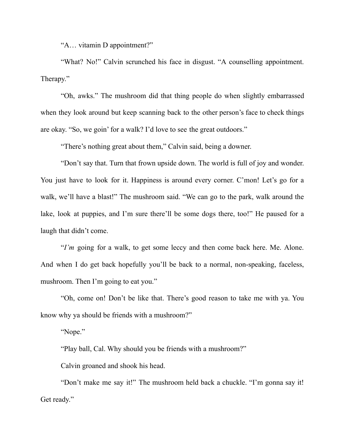"A… vitamin D appointment?"

"What? No!" Calvin scrunched his face in disgust. "A counselling appointment. Therapy."

"Oh, awks." The mushroom did that thing people do when slightly embarrassed when they look around but keep scanning back to the other person's face to check things are okay. "So, we goin' for a walk? I'd love to see the great outdoors."

"There's nothing great about them," Calvin said, being a downer.

"Don't say that. Turn that frown upside down. The world is full of joy and wonder. You just have to look for it. Happiness is around every corner. C'mon! Let's go for a walk, we'll have a blast!" The mushroom said. "We can go to the park, walk around the lake, look at puppies, and I'm sure there'll be some dogs there, too!" He paused for a laugh that didn't come.

"*I'm* going for a walk, to get some leccy and then come back here. Me. Alone. And when I do get back hopefully you'll be back to a normal, non-speaking, faceless, mushroom. Then I'm going to eat you."

"Oh, come on! Don't be like that. There's good reason to take me with ya. You know why ya should be friends with a mushroom?"

"Nope."

"Play ball, Cal. Why should you be friends with a mushroom?"

Calvin groaned and shook his head.

"Don't make me say it!" The mushroom held back a chuckle. "I'm gonna say it! Get ready."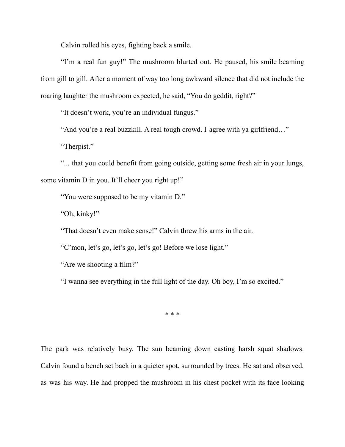Calvin rolled his eyes, fighting back a smile.

"I'm a real fun guy!" The mushroom blurted out. He paused, his smile beaming from gill to gill. After a moment of way too long awkward silence that did not include the roaring laughter the mushroom expected, he said, "You do geddit, right?"

"It doesn't work, you're an individual fungus."

"And you're a real buzzkill. A real tough crowd. I agree with ya girlfriend…"

"Therpist."

"... that you could benefit from going outside, getting some fresh air in your lungs, some vitamin D in you. It'll cheer you right up!"

"You were supposed to be my vitamin D."

"Oh, kinky!"

"That doesn't even make sense!" Calvin threw his arms in the air.

"C'mon, let's go, let's go, let's go! Before we lose light."

"Are we shooting a film?"

"I wanna see everything in the full light of the day. Oh boy, I'm so excited."

\* \* \*

The park was relatively busy. The sun beaming down casting harsh squat shadows. Calvin found a bench set back in a quieter spot, surrounded by trees. He sat and observed, as was his way. He had propped the mushroom in his chest pocket with its face looking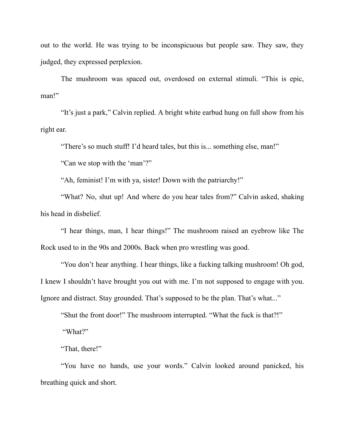out to the world. He was trying to be inconspicuous but people saw. They saw, they judged, they expressed perplexion.

The mushroom was spaced out, overdosed on external stimuli. "This is epic, man!"

"It's just a park," Calvin replied. A bright white earbud hung on full show from his right ear.

"There's so much stuff! I'd heard tales, but this is... something else, man!"

"Can we stop with the 'man'?"

"Ah, feminist! I'm with ya, sister! Down with the patriarchy!"

"What? No, shut up! And where do you hear tales from?" Calvin asked, shaking his head in disbelief.

"I hear things, man, I hear things!" The mushroom raised an eyebrow like The Rock used to in the 90s and 2000s. Back when pro wrestling was good.

"You don't hear anything. I hear things, like a fucking talking mushroom! Oh god, I knew I shouldn't have brought you out with me. I'm not supposed to engage with you. Ignore and distract. Stay grounded. That's supposed to be the plan. That's what..."

"Shut the front door!" The mushroom interrupted. "What the fuck is that?!"

"What?"

"That, there!"

"You have no hands, use your words." Calvin looked around panicked, his breathing quick and short.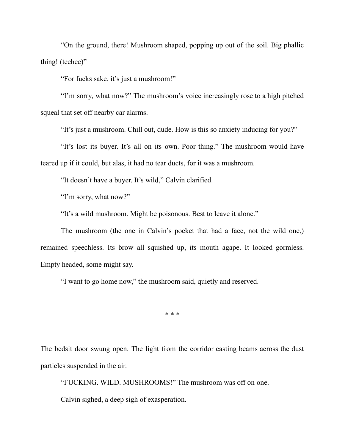"On the ground, there! Mushroom shaped, popping up out of the soil. Big phallic thing! (teehee)"

"For fucks sake, it's just a mushroom!"

"I'm sorry, what now?" The mushroom's voice increasingly rose to a high pitched squeal that set off nearby car alarms.

"It's just a mushroom. Chill out, dude. How is this so anxiety inducing for you?"

"It's lost its buyer. It's all on its own. Poor thing." The mushroom would have teared up if it could, but alas, it had no tear ducts, for it was a mushroom.

"It doesn't have a buyer. It's wild," Calvin clarified.

"I'm sorry, what now?"

"It's a wild mushroom. Might be poisonous. Best to leave it alone."

The mushroom (the one in Calvin's pocket that had a face, not the wild one,) remained speechless. Its brow all squished up, its mouth agape. It looked gormless. Empty headed, some might say.

"I want to go home now," the mushroom said, quietly and reserved.

\* \* \*

The bedsit door swung open. The light from the corridor casting beams across the dust particles suspended in the air.

"FUCKING. WILD. MUSHROOMS!" The mushroom was off on one.

Calvin sighed, a deep sigh of exasperation.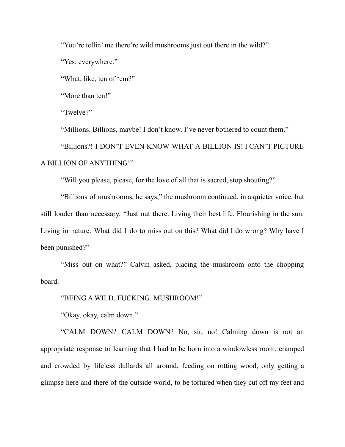"You're tellin' me there're wild mushrooms just out there in the wild?"

"Yes, everywhere."

"What, like, ten of 'em?"

"More than ten!"

"Twelve?"

"Millions. Billions, maybe! I don't know. I've never bothered to count them."

"Billions?! I DON'T EVEN KNOW WHAT A BILLION IS! I CAN'T PICTURE A BILLION OF ANYTHING!"

"Will you please, please, for the love of all that is sacred, stop shouting?"

"Billions of mushrooms, he says," the mushroom continued, in a quieter voice, but still louder than necessary. "Just out there. Living their best life. Flourishing in the sun. Living in nature. What did I do to miss out on this? What did I do wrong? Why have I been punished?"

"Miss out on what?" Calvin asked, placing the mushroom onto the chopping board.

"BEING A WILD. FUCKING. MUSHROOM!"

"Okay, okay, calm down."

"CALM DOWN? CALM DOWN? No, sir, no! Calming down is not an appropriate response to learning that I had to be born into a windowless room, cramped and crowded by lifeless dullards all around, feeding on rotting wood, only getting a glimpse here and there of the outside world, to be tortured when they cut off my feet and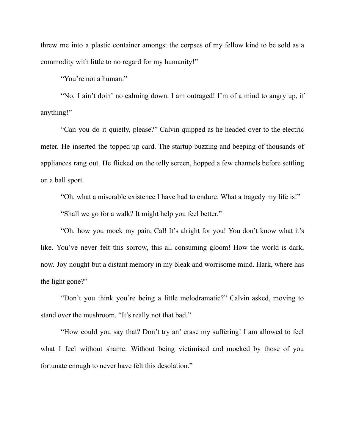threw me into a plastic container amongst the corpses of my fellow kind to be sold as a commodity with little to no regard for my humanity!"

"You're not a human."

"No, I ain't doin' no calming down. I am outraged! I'm of a mind to angry up, if anything!"

"Can you do it quietly, please?" Calvin quipped as he headed over to the electric meter. He inserted the topped up card. The startup buzzing and beeping of thousands of appliances rang out. He flicked on the telly screen, hopped a few channels before settling on a ball sport.

"Oh, what a miserable existence I have had to endure. What a tragedy my life is!" "Shall we go for a walk? It might help you feel better."

"Oh, how you mock my pain, Cal! It's alright for you! You don't know what it's like. You've never felt this sorrow, this all consuming gloom! How the world is dark, now. Joy nought but a distant memory in my bleak and worrisome mind. Hark, where has the light gone?"

"Don't you think you're being a little melodramatic?" Calvin asked, moving to stand over the mushroom. "It's really not that bad."

"How could you say that? Don't try an' erase my suffering! I am allowed to feel what I feel without shame. Without being victimised and mocked by those of you fortunate enough to never have felt this desolation."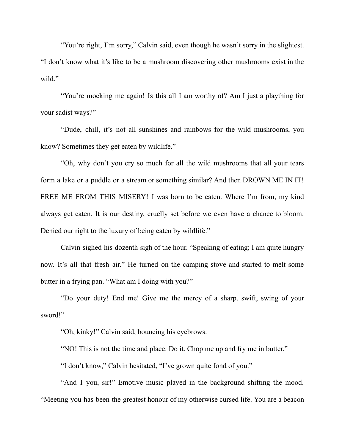"You're right, I'm sorry," Calvin said, even though he wasn't sorry in the slightest. "I don't know what it's like to be a mushroom discovering other mushrooms exist in the wild."

"You're mocking me again! Is this all I am worthy of? Am I just a plaything for your sadist ways?"

"Dude, chill, it's not all sunshines and rainbows for the wild mushrooms, you know? Sometimes they get eaten by wildlife."

"Oh, why don't you cry so much for all the wild mushrooms that all your tears form a lake or a puddle or a stream or something similar? And then DROWN ME IN IT! FREE ME FROM THIS MISERY! I was born to be eaten. Where I'm from, my kind always get eaten. It is our destiny, cruelly set before we even have a chance to bloom. Denied our right to the luxury of being eaten by wildlife."

Calvin sighed his dozenth sigh of the hour. "Speaking of eating; I am quite hungry now. It's all that fresh air." He turned on the camping stove and started to melt some butter in a frying pan. "What am I doing with you?"

"Do your duty! End me! Give me the mercy of a sharp, swift, swing of your sword!"

"Oh, kinky!" Calvin said, bouncing his eyebrows.

"NO! This is not the time and place. Do it. Chop me up and fry me in butter."

"I don't know," Calvin hesitated, "I've grown quite fond of you."

"And I you, sir!" Emotive music played in the background shifting the mood. "Meeting you has been the greatest honour of my otherwise cursed life. You are a beacon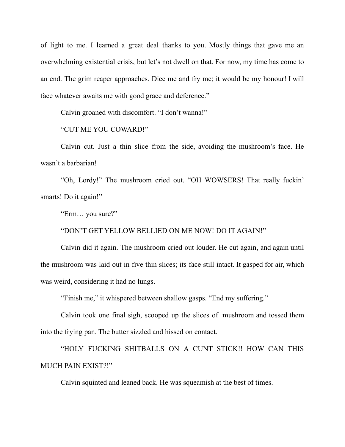of light to me. I learned a great deal thanks to you. Mostly things that gave me an overwhelming existential crisis, but let's not dwell on that. For now, my time has come to an end. The grim reaper approaches. Dice me and fry me; it would be my honour! I will face whatever awaits me with good grace and deference."

Calvin groaned with discomfort. "I don't wanna!"

"CUT ME YOU COWARD!"

Calvin cut. Just a thin slice from the side, avoiding the mushroom's face. He wasn't a barbarian!

"Oh, Lordy!" The mushroom cried out. "OH WOWSERS! That really fuckin' smarts! Do it again!"

"Erm… you sure?"

"DON'T GET YELLOW BELLIED ON ME NOW! DO IT AGAIN!"

Calvin did it again. The mushroom cried out louder. He cut again, and again until the mushroom was laid out in five thin slices; its face still intact. It gasped for air, which was weird, considering it had no lungs.

"Finish me," it whispered between shallow gasps. "End my suffering."

Calvin took one final sigh, scooped up the slices of mushroom and tossed them into the frying pan. The butter sizzled and hissed on contact.

"HOLY FUCKING SHITBALLS ON A CUNT STICK!! HOW CAN THIS MUCH PAIN EXIST?!"

Calvin squinted and leaned back. He was squeamish at the best of times.